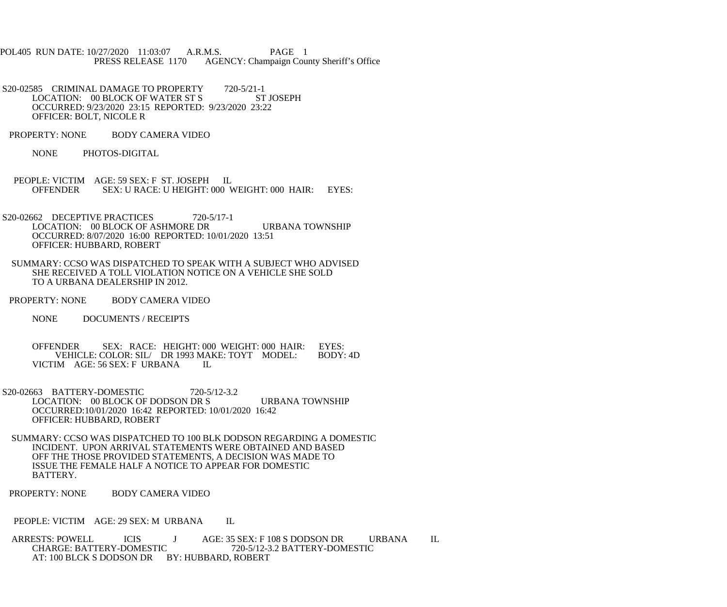- POL405 RUN DATE: 10/27/2020 11:03:07 A.R.M.S. PAGE 1<br>PRESS RELEASE 1170 AGENCY: Champaign Cou AGENCY: Champaign County Sheriff's Office
- S20-02585 CRIMINAL DAMAGE TO PROPERTY 720-5/21-1<br>LOCATION: 00 BLOCK OF WATER ST S ST JOSEPH LOCATION: 00 BLOCK OF WATER ST S OCCURRED: 9/23/2020 23:15 REPORTED: 9/23/2020 23:22 OFFICER: BOLT, NICOLE R
- PROPERTY: NONE BODY CAMERA VIDEO
	- NONE PHOTOS-DIGITAL
- PEOPLE: VICTIM AGE: 59 SEX: F ST. JOSEPH IL<br>OFFENDER SEX: U RACE: U HEIGHT: 000 V SEX: U RACE: U HEIGHT: 000 WEIGHT: 000 HAIR: EYES:
- S20-02662 DECEPTIVE PRACTICES 720-5/17-1 LOCATION: 00 BLOCK OF ASHMORE DR URBANA TOWNSHIP OCCURRED: 8/07/2020 16:00 REPORTED: 10/01/2020 13:51 OFFICER: HUBBARD, ROBERT
- SUMMARY: CCSO WAS DISPATCHED TO SPEAK WITH A SUBJECT WHO ADVISED SHE RECEIVED A TOLL VIOLATION NOTICE ON A VEHICLE SHE SOLD TO A URBANA DEALERSHIP IN 2012.
- PROPERTY: NONE BODY CAMERA VIDEO
	- NONE DOCUMENTS / RECEIPTS
	- OFFENDER SEX: RACE: HEIGHT: 000 WEIGHT: 000 HAIR: EYES:<br>VEHICLE: COLOR: SIL/ DR 1993 MAKE: TOYT MODEL: BODY: 4D VEHICLE: COLOR: SIL/ DR 1993 MAKE: TOYT MODEL: VICTIM AGE: 56 SEX: F URBANA IL
- S20-02663 BATTERY-DOMESTIC 720-5/12-3.2 LOCATION: 00 BLOCK OF DODSON DR S URBANA TOWNSHIP OCCURRED:10/01/2020 16:42 REPORTED: 10/01/2020 16:42 OFFICER: HUBBARD, ROBERT
- SUMMARY: CCSO WAS DISPATCHED TO 100 BLK DODSON REGARDING A DOMESTIC INCIDENT. UPON ARRIVAL STATEMENTS WERE OBTAINED AND BASED OFF THE THOSE PROVIDED STATEMENTS, A DECISION WAS MADE TO ISSUE THE FEMALE HALF A NOTICE TO APPEAR FOR DOMESTIC BATTERY.
- PROPERTY: NONE BODY CAMERA VIDEO

PEOPLE: VICTIM AGE: 29 SEX: M URBANA IL

ARRESTS: POWELL ICIS J AGE: 35 SEX: F 108 S DODSON DR URBANA IL<br>CHARGE: BATTERY-DOMESTIC 720-5/12-3.2 BATTERY-DOMESTIC CHARGE: BATTERY-DOMESTIC AT: 100 BLCK S DODSON DR BY: HUBBARD, ROBERT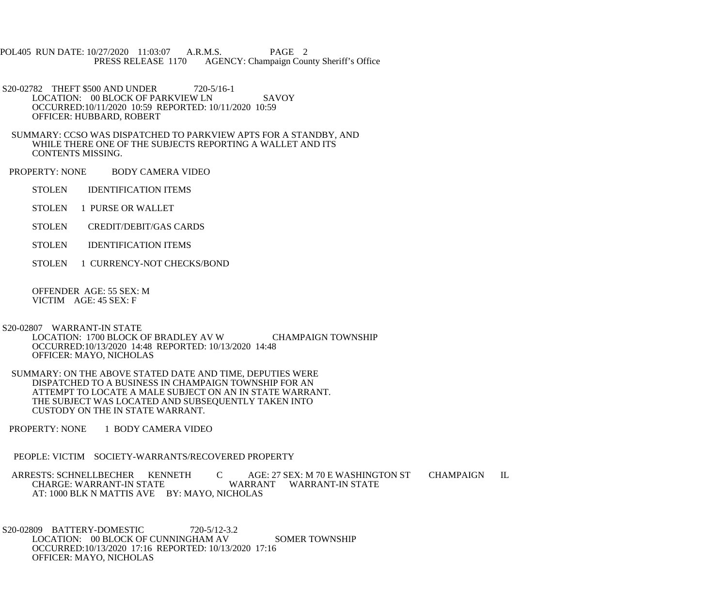POL405 RUN DATE: 10/27/2020 11:03:07 A.R.M.S. PAGE 2<br>PRESS RELEASE 1170 AGENCY: Champaign Cou AGENCY: Champaign County Sheriff's Office

S20-02782 THEFT \$500 AND UNDER 720-5/16-1 LOCATION: 00 BLOCK OF PARKVIEW LN SAVOY OCCURRED:10/11/2020 10:59 REPORTED: 10/11/2020 10:59 OFFICER: HUBBARD, ROBERT

 SUMMARY: CCSO WAS DISPATCHED TO PARKVIEW APTS FOR A STANDBY, AND WHILE THERE ONE OF THE SUBJECTS REPORTING A WALLET AND ITS CONTENTS MISSING.

PROPERTY: NONE BODY CAMERA VIDEO

STOLEN **IDENTIFICATION ITEMS** 

STOLEN 1 PURSE OR WALLET

- STOLEN CREDIT/DEBIT/GAS CARDS
- STOLEN IDENTIFICATION ITEMS
- STOLEN 1 CURRENCY-NOT CHECKS/BOND

 OFFENDER AGE: 55 SEX: M VICTIM AGE: 45 SEX: F

S20-02807 WARRANT-IN STATE

 LOCATION: 1700 BLOCK OF BRADLEY AV W CHAMPAIGN TOWNSHIP OCCURRED:10/13/2020 14:48 REPORTED: 10/13/2020 14:48 OFFICER: MAYO, NICHOLAS

 SUMMARY: ON THE ABOVE STATED DATE AND TIME, DEPUTIES WERE DISPATCHED TO A BUSINESS IN CHAMPAIGN TOWNSHIP FOR AN ATTEMPT TO LOCATE A MALE SUBJECT ON AN IN STATE WARRANT. THE SUBJECT WAS LOCATED AND SUBSEQUENTLY TAKEN INTO CUSTODY ON THE IN STATE WARRANT.

PROPERTY: NONE 1 BODY CAMERA VIDEO

PEOPLE: VICTIM SOCIETY-WARRANTS/RECOVERED PROPERTY

ARRESTS: SCHNELLBECHER KENNETH C AGE: 27 SEX: M 70 E WASHINGTON ST CHAMPAIGN IL<br>CHARGE: WARRANT-IN STATE WARRANT WARRANT-IN STATE WARRANT WARRANT-IN STATE AT: 1000 BLK N MATTIS AVE BY: MAYO, NICHOLAS

 S20-02809 BATTERY-DOMESTIC 720-5/12-3.2 LOCATION: 00 BLOCK OF CUNNINGHAM AV SOMER TOWNSHIP OCCURRED:10/13/2020 17:16 REPORTED: 10/13/2020 17:16 OFFICER: MAYO, NICHOLAS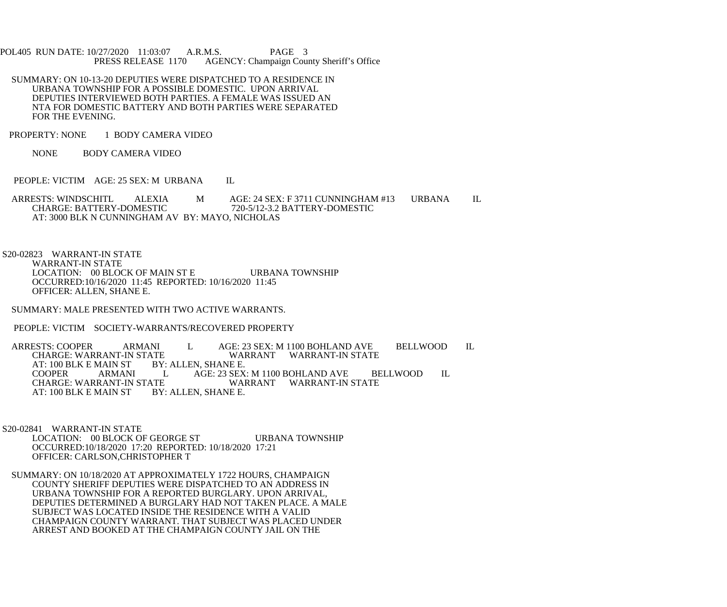POL405 RUN DATE: 10/27/2020 11:03:07 A.R.M.S. PAGE 3<br>PRESS RELEASE 1170 AGENCY: Champaign Cou AGENCY: Champaign County Sheriff's Office

- SUMMARY: ON 10-13-20 DEPUTIES WERE DISPATCHED TO A RESIDENCE IN URBANA TOWNSHIP FOR A POSSIBLE DOMESTIC. UPON ARRIVAL DEPUTIES INTERVIEWED BOTH PARTIES. A FEMALE WAS ISSUED AN NTA FOR DOMESTIC BATTERY AND BOTH PARTIES WERE SEPARATED FOR THE EVENING.
- PROPERTY: NONE 1 BODY CAMERA VIDEO
	- NONE BODY CAMERA VIDEO
- PEOPLE: VICTIM AGE: 25 SEX: M URBANA IL
- ARRESTS: WINDSCHITL ALEXIA M AGE: 24 SEX: F 3711 CUNNINGHAM #13 URBANA IL CHARGE: BATTERY-DOMESTIC 720-5/12-3.2 BATTERY-DOMESTIC AT: 3000 BLK N CUNNINGHAM AV BY: MAYO, NICHOLAS
- S20-02823 WARRANT-IN STATE WARRANT-IN STATE LOCATION: 00 BLOCK OF MAIN ST E URBANA TOWNSHIP OCCURRED:10/16/2020 11:45 REPORTED: 10/16/2020 11:45 OFFICER: ALLEN, SHANE E.
- SUMMARY: MALE PRESENTED WITH TWO ACTIVE WARRANTS.
- PEOPLE: VICTIM SOCIETY-WARRANTS/RECOVERED PROPERTY

ARRESTS: COOPER ARMANI L AGE: 23 SEX: M 1100 BOHLAND AVE BELLWOOD IL CHARGE: WARRANT-IN STATE WARRANT WARRANT-IN STATE ATE WARRANT WARRANT-IN STATE<br>BY: ALLEN. SHANE E. AT: 100 BLK E MAIN ST COOPER ARMANI L AGE: 23 SEX: M 1100 BOHLAND AVE BELLWOOD IL ATE WARRANT WARRANT-IN STATE BY: ALLEN, SHANE E. AT: 100 BLK E MAIN ST

- S20-02841 WARRANT-IN STATE LOCATION: 00 BLOCK OF GEORGE ST URBANA TOWNSHIP OCCURRED:10/18/2020 17:20 REPORTED: 10/18/2020 17:21 OFFICER: CARLSON,CHRISTOPHER T
- SUMMARY: ON 10/18/2020 AT APPROXIMATELY 1722 HOURS, CHAMPAIGN COUNTY SHERIFF DEPUTIES WERE DISPATCHED TO AN ADDRESS IN URBANA TOWNSHIP FOR A REPORTED BURGLARY. UPON ARRIVAL, DEPUTIES DETERMINED A BURGLARY HAD NOT TAKEN PLACE. A MALE SUBJECT WAS LOCATED INSIDE THE RESIDENCE WITH A VALID CHAMPAIGN COUNTY WARRANT. THAT SUBJECT WAS PLACED UNDER ARREST AND BOOKED AT THE CHAMPAIGN COUNTY JAIL ON THE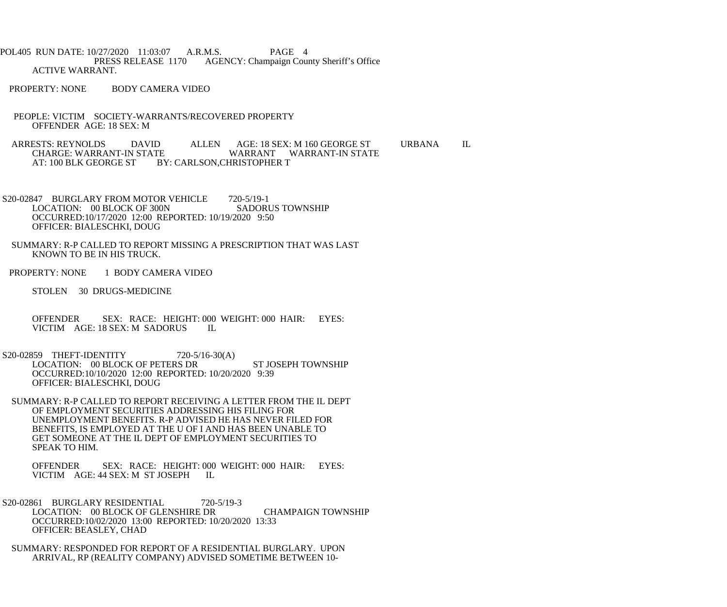POL405 RUN DATE: 10/27/2020 11:03:07 A.R.M.S. PAGE 4<br>PRESS RELEASE 1170 AGENCY: Champaign Cou AGENCY: Champaign County Sheriff's Office ACTIVE WARRANT.

- PROPERTY: NONE BODY CAMERA VIDEO
- PEOPLE: VICTIM SOCIETY-WARRANTS/RECOVERED PROPERTY OFFENDER AGE: 18 SEX: M

ARRESTS: REYNOLDS DAVID ALLEN AGE: 18 SEX: M 160 GEORGE ST URBANA IL CHARGE: WARRANT-IN STATE CHARGE: WARRANT-IN STATE WARRANT WARRANT-IN STATE<br>AT: 100 BLK GEORGE ST BY: CARLSON,CHRISTOPHER T BY: CARLSON, CHRISTOPHER T

S20-02847 BURGLARY FROM MOTOR VEHICLE 720-5/19-1 LOCATION: 00 BLOCK OF 300N SADORUS TOWNSHIP OCCURRED:10/17/2020 12:00 REPORTED: 10/19/2020 9:50 OFFICER: BIALESCHKI, DOUG

- SUMMARY: R-P CALLED TO REPORT MISSING A PRESCRIPTION THAT WAS LAST KNOWN TO BE IN HIS TRUCK.
- PROPERTY: NONE 1 BODY CAMERA VIDEO
	- STOLEN 30 DRUGS-MEDICINE
	- OFFENDER SEX: RACE: HEIGHT: 000 WEIGHT: 000 HAIR: EYES: VICTIM AGE: 18 SEX: M SADORUS IL VICTIM AGE: 18 SEX: M SADORUS
- S20-02859 THEFT-IDENTITY 720-5/16-30(A) LOCATION: 00 BLOCK OF PETERS DR ST JOSEPH TOWNSHIP OCCURRED:10/10/2020 12:00 REPORTED: 10/20/2020 9:39 OFFICER: BIALESCHKI, DOUG
- SUMMARY: R-P CALLED TO REPORT RECEIVING A LETTER FROM THE IL DEPT OF EMPLOYMENT SECURITIES ADDRESSING HIS FILING FOR UNEMPLOYMENT BENEFITS. R-P ADVISED HE HAS NEVER FILED FOR BENEFITS, IS EMPLOYED AT THE U OF I AND HAS BEEN UNABLE TO GET SOMEONE AT THE IL DEPT OF EMPLOYMENT SECURITIES TO SPEAK TO HIM.

 OFFENDER SEX: RACE: HEIGHT: 000 WEIGHT: 000 HAIR: EYES: VICTIM AGE: 44 SEX: M ST JOSEPH IL

- S20-02861 BURGLARY RESIDENTIAL 720-5/19-3 LOCATION: 00 BLOCK OF GLENSHIRE DR CHAMPAIGN TOWNSHIP OCCURRED:10/02/2020 13:00 REPORTED: 10/20/2020 13:33 OFFICER: BEASLEY, CHAD
	- SUMMARY: RESPONDED FOR REPORT OF A RESIDENTIAL BURGLARY. UPON ARRIVAL, RP (REALITY COMPANY) ADVISED SOMETIME BETWEEN 10-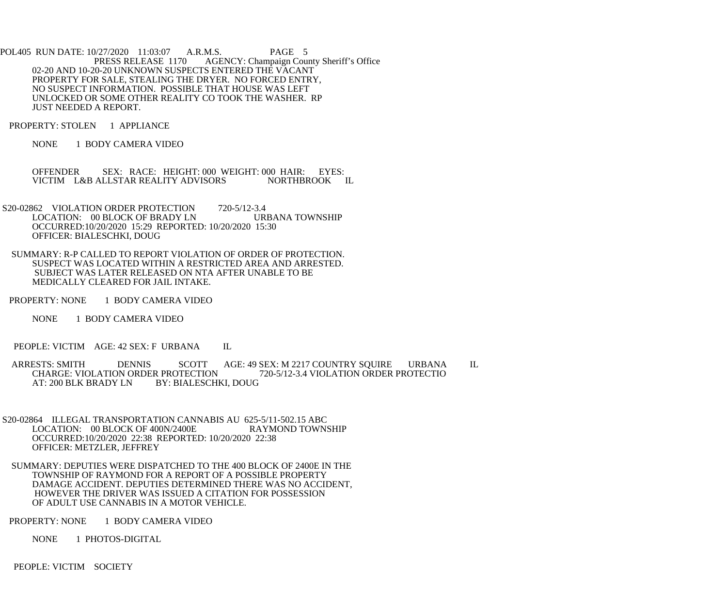- POL405 RUN DATE: 10/27/2020 11:03:07 A.R.M.S. PAGE 5<br>PRESS RELEASE 1170 AGENCY: Champaign Cou AGENCY: Champaign County Sheriff's Office 02-20 AND 10-20-20 UNKNOWN SUSPECTS ENTERED THE VACANT PROPERTY FOR SALE, STEALING THE DRYER. NO FORCED ENTRY, NO SUSPECT INFORMATION. POSSIBLE THAT HOUSE WAS LEFT UNLOCKED OR SOME OTHER REALITY CO TOOK THE WASHER. RP JUST NEEDED A REPORT.
- PROPERTY: STOLEN 1 APPLIANCE
	- NONE 1 BODY CAMERA VIDEO

OFFENDER SEX: RACE: HEIGHT: 000 WEIGHT: 000 HAIR: EYES:<br>VICTIM L&B ALLSTAR REALITY ADVISORS NORTHBROOK IL VICTIM L&B ALLSTAR REALITY ADVISORS

- S20-02862 VIOLATION ORDER PROTECTION 720-5/12-3.4 LOCATION: 00 BLOCK OF BRADY LN URBANA TOWNSHIP OCCURRED:10/20/2020 15:29 REPORTED: 10/20/2020 15:30 OFFICER: BIALESCHKI, DOUG
- SUMMARY: R-P CALLED TO REPORT VIOLATION OF ORDER OF PROTECTION. SUSPECT WAS LOCATED WITHIN A RESTRICTED AREA AND ARRESTED. SUBJECT WAS LATER RELEASED ON NTA AFTER UNABLE TO BE MEDICALLY CLEARED FOR JAIL INTAKE.
- PROPERTY: NONE 1 BODY CAMERA VIDEO
	- NONE 1 BODY CAMERA VIDEO

PEOPLE: VICTIM AGE: 42 SEX: F URBANA IL

- ARRESTS: SMITH DENNIS SCOTT AGE: 49 SEX: M 2217 COUNTRY SQUIRE URBANA IL<br>CHARGE: VIOLATION ORDER PROTECTION 720-5/12-3.4 VIOLATION ORDER PROTECTIO CHARGE: VIOLATION ORDER PROTECTION<br>AT: 200 BLK BRADY LN BY: BIALESCH BY: BIALESCHKI, DOUG
- S20-02864 ILLEGAL TRANSPORTATION CANNABIS AU 625-5/11-502.15 ABC<br>LOCATION: 00 BLOCK OF 400N/2400E RAYMOND TOWNSHIP LOCATION: 00 BLOCK OF 400N/2400E OCCURRED:10/20/2020 22:38 REPORTED: 10/20/2020 22:38 OFFICER: METZLER, JEFFREY
- SUMMARY: DEPUTIES WERE DISPATCHED TO THE 400 BLOCK OF 2400E IN THE TOWNSHIP OF RAYMOND FOR A REPORT OF A POSSIBLE PROPERTY DAMAGE ACCIDENT. DEPUTIES DETERMINED THERE WAS NO ACCIDENT, HOWEVER THE DRIVER WAS ISSUED A CITATION FOR POSSESSION OF ADULT USE CANNABIS IN A MOTOR VEHICLE.
- PROPERTY: NONE 1 BODY CAMERA VIDEO
	- NONE 1 PHOTOS-DIGITAL